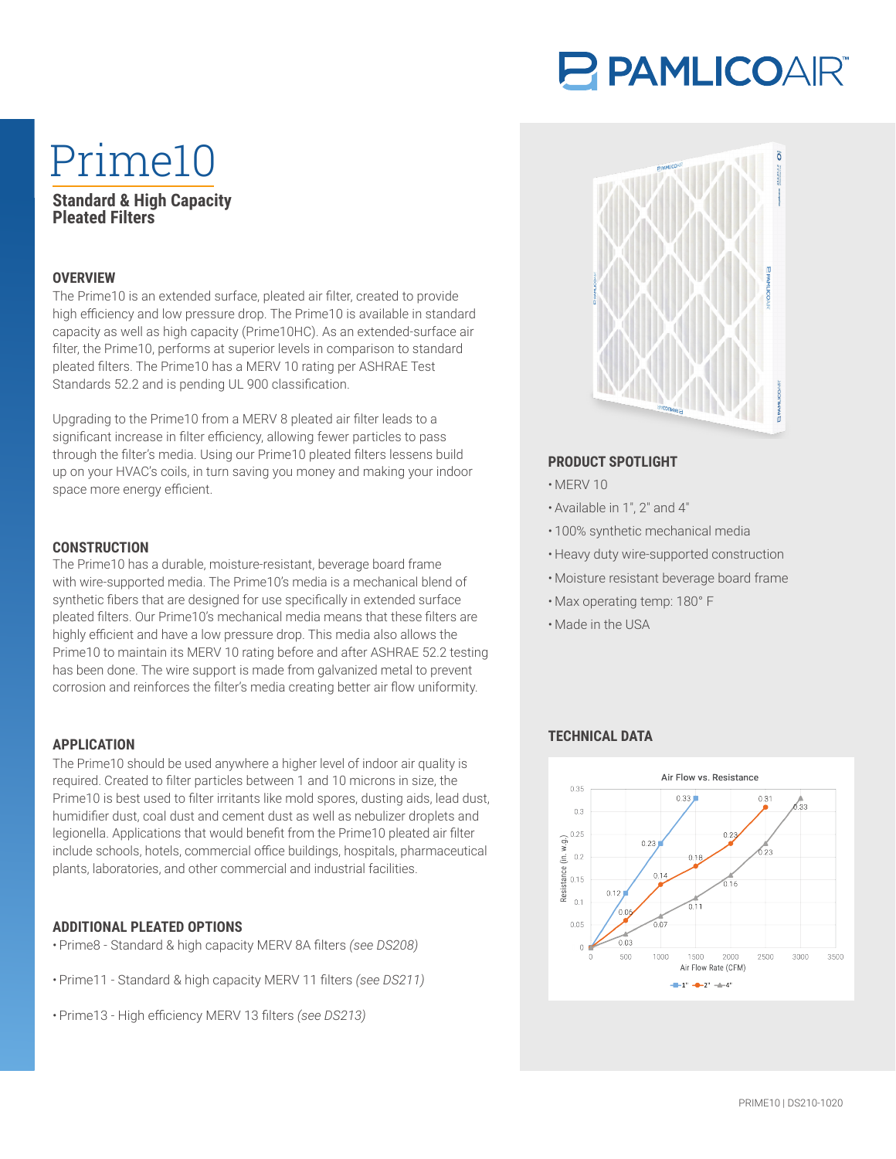# PAMLICOAIR®

# Prime10

## **Standard & High Capacity Pleated Filters**

## **OVERVIEW**

The Prime10 is an extended surface, pleated air filter, created to provide high efficiency and low pressure drop. The Prime10 is available in standard capacity as well as high capacity (Prime10HC). As an extended-surface air filter, the Prime10, performs at superior levels in comparison to standard pleated filters. The Prime10 has a MERV 10 rating per ASHRAE Test Standards 52.2 and is pending UL 900 classification.

Upgrading to the Prime10 from a MERV 8 pleated air filter leads to a significant increase in filter efficiency, allowing fewer particles to pass through the filter's media. Using our Prime10 pleated filters lessens build up on your HVAC's coils, in turn saving you money and making your indoor space more energy efficient.

# **CONSTRUCTION**

The Prime10 has a durable, moisture-resistant, beverage board frame with wire-supported media. The Prime10's media is a mechanical blend of synthetic fibers that are designed for use specifically in extended surface pleated filters. Our Prime10's mechanical media means that these filters are highly efficient and have a low pressure drop. This media also allows the Prime10 to maintain its MERV 10 rating before and after ASHRAE 52.2 testing has been done. The wire support is made from galvanized metal to prevent corrosion and reinforces the filter's media creating better air flow uniformity.

#### **APPLICATION**

The Prime10 should be used anywhere a higher level of indoor air quality is required. Created to filter particles between 1 and 10 microns in size, the Prime10 is best used to filter irritants like mold spores, dusting aids, lead dust, humidifier dust, coal dust and cement dust as well as nebulizer droplets and legionella. Applications that would benefit from the Prime10 pleated air filter include schools, hotels, commercial office buildings, hospitals, pharmaceutical plants, laboratories, and other commercial and industrial facilities.

#### **ADDITIONAL PLEATED OPTIONS**

- Prime8 Standard & high capacity MERV 8A filters *(see DS208)*
- Prime11 Standard & high capacity MERV 11 filters *(see DS211)*
- Prime13 High efficiency MERV 13 filters *(see DS213)*



### **PRODUCT SPOTLIGHT**

- MERV 10
- Available in 1″, 2″ and 4″
- 100% synthetic mechanical media
- Heavy duty wire-supported construction
- Moisture resistant beverage board frame
- Max operating temp: 180° F
- Made in the USA

### **TECHNICAL DATA**